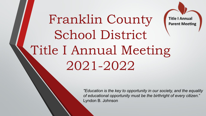### Franklin County **Title I Annual Parent Meeting** School District Title I Annual Meeting 2021-2022

*"Education is the key to opportunity in our society, and the equality of educational opportunity must be the birthright of every citizen.*" Lyndon B. Johnson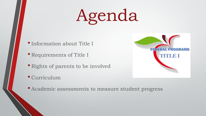# Agenda

- •Information about Title I
- Requirements of Title I
- Rights of parents to be involved
- Curriculum



• Academic assessments to measure student progress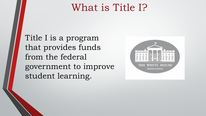## What is Title I?

Title I is a program that provides funds from the federal government to improve student learning.

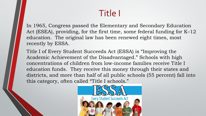### Title I

In 1965, Congress passed the Elementary and Secondary Education Act (ESEA), providing, for the first time, some federal funding for K–12 education. The original law has been renewed eight times, most recently by ESSA.

Title I of Every Student Succeeds Act (ESSA) is "Improving the Academic Achievement of the Disadvantaged." Schools with high concentrations of children from low-income families receive Title I education funds. They receive this money through their states and districts, and more than half of all public schools (55 percent) fall into this category, often called "Title I schools."

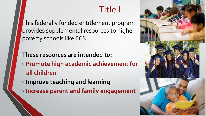### Title I

This federally funded entitlement program provides supplemental resources to higher poverty schools like FCS.

#### **These resources are intended to:**

◦ **Promote high academic achievement for all children** 

- **Improve teaching and learning**
- **Increase parent and family engagement**

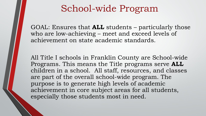### School-wide Program

GOAL: Ensures that **ALL** students – particularly those who are low-achieving – meet and exceed levels of achievement on state academic standards.

All Title I schools in Franklin County are School-wide Programs. This means the Title programs serve **ALL** children in a school. All staff, resources, and classes are part of the overall school-wide program. The purpose is to generate high levels of academic achievement in core subject areas for all students, especially those students most in need.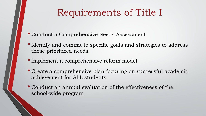### Requirements of Title I

- Conduct a Comprehensive Needs Assessment
- Identify and commit to specific goals and strategies to address those prioritized needs.
- •Implement a comprehensive reform model
- Create a comprehensive plan focusing on successful academic achievement for ALL students
- Conduct an annual evaluation of the effectiveness of the school-wide program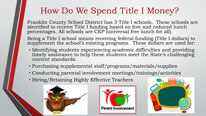### How Do We Spend Title I Money?

Franklin County School District has 3 Title I schools. These schools are identified to receive Title I funding based on free and reduced lunch percentages. All schools are CEP (universal free lunch for all).

Being a Title I school means receiving federal funding (Title I dollars) to supplement the school's existing programs. These dollars are used for:

- Identifying students experiencing academic difficulties and providing timely assistance to help these students meet the State's challenging content standards.
- Purchasing supplemental staff/programs/materials/supplies
- Conducting parental involvement meetings/trainings/activities
- Hiring/Retaining Highly Effective Teachers





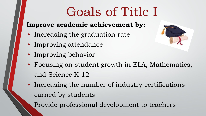# Goals of Title I

#### **Improve academic achievement by:**

- Increasing the graduation rate
- Improving attendance
- Improving behavior
- Focusing on student growth in ELA, Mathematics, and Science K-12
- Increasing the number of industry certifications earned by students

• Provide professional development to teachers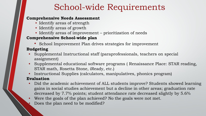#### School-wide Requirements

#### **Comprehensive Needs Assessment**

- Identify areas of strength
- Identify areas of growth
- Identify areas of improvement prioritization of needs

#### **Comprehensive School-wide plan**

• School Improvement Plan drives strategies for improvement

#### **Budgeting**

- Supplemental Instructional staff (paraprofessionals, teachers on special assignment)
- Supplemental educational software programs ( Renaissance Place: STAR reading, STAR math, Rosetta Stone, iReady, etc.)
- Instructional Supplies (calculators, manipulatives, phonics program)

#### **Evaluation**

- Did the academic achievement of ALL students improve? Students showed learning gains in social studies achievement but a decline in other areas; graduation rate decreased by 7.7% points; student attendance rate decreased slightly by 5.6%
- Were the goals of the plan achieved? No the goals were not met.
- Does the plan need to be modified?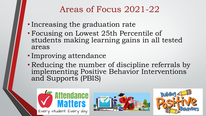#### Areas of Focus 2021-22

- Increasing the graduation rate
- Focusing on Lowest 25th Percentile of students making learning gains in all tested areas
- Improving attendance
- Reducing the number of discipline referrals by implementing Positive Behavior Interventions and Supports (PBIS)





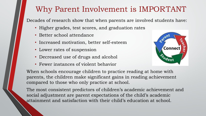#### Why Parent Involvement is IMPORTANT

Decades of research show that when parents are involved students have:

- Higher grades, test scores, and graduation rates
- Better school attendance
- Increased motivation, better self-esteem
- Lower rates of suspension
- Decreased use of drugs and alcohol
- Fewer instances of violent behavior



When schools encourage children to practice reading at home with parents, the children make significant gains in reading achievement compared to those who only practice at school.

The most consistent predictors of children's academic achievement and social adjustment are parent expectations of the child's academic attainment and satisfaction with their child's education at school.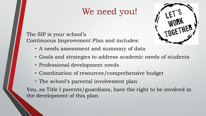#### We need you!



The SIP is your school's Continuous Improvement Plan and includes:

- A needs assessment and summary of data
- Goals and strategies to address academic needs of students
- Professional development needs
- Coordination of resources/comprehensive budget
- The school's parental involvement plan

You, as Title I parents/guardians, have the right to be involved in the development of this plan.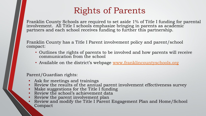#### Rights of Parents

Franklin County Schools are required to set aside 1% of Title I funding for parental involvement. All Title I schools emphasize bringing in parents as academic partners and each school receives funding to further this partnership.

Franklin County has a Title I Parent involvement policy and parent/school compact:

- Outlines the rights of parents to be involved and how parents will receive communication from the school
- Available on the district's webpage [www.franklincountyschools.org](http://www.franklincountyschools.org/)

#### Parent/Guardian rights:

- Ask for meetings and trainings
- Review the results of the annual parent involvement effectiveness survey
- Make suggestions for the Title I funding
- Review the school's achievement data
- Review the parent involvement plan
- Review and modify the Title I Parent Engagement Plan and Home/School Compact •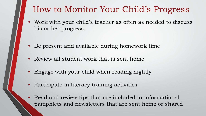#### How to Monitor Your Child's Progress

- Work with your child's teacher as often as needed to discuss his or her progress.
- Be present and available during homework time
- Review all student work that is sent home
- Engage with your child when reading nightly
- Participate in literacy training activities
- Read and review tips that are included in informational pamphlets and newsletters that are sent home or shared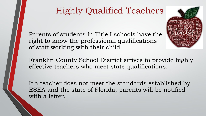### Highly Qualified Teachers

Parents of students in Title I schools have the right to know the professional qualifications of staff working with their child.

Franklin County School District strives to provide highly effective teachers who meet state qualifications.

If a teacher does not meet the standards established by ESEA and the state of Florida, parents will be notified with a letter.

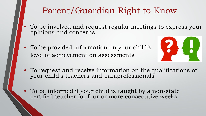#### Parent/Guardian Right to Know

- To be involved and request regular meetings to express your opinions and concerns
- To be provided information on your child's level of achievement on assessments



- To request and receive information on the qualifications of your child's teachers and paraprofessionals
- To be informed if your child is taught by a non-state certified teacher for four or more consecutive weeks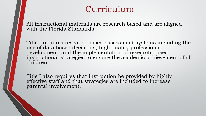#### Curriculum

All instructional materials are research based and are aligned with the Florida Standards.

Title I requires research based assessment systems including the use of data based decisions, high quality professional development, and the implementation of research-based instructional strategies to ensure the academic achievement of all children.

Title I also requires that instruction be provided by highly effective staff and that strategies are included to increase parental involvement.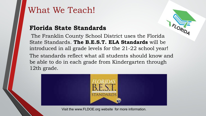#### What We Teach!

#### **Florida State Standards**

 The Franklin County School District uses the Florida State Standards. **The B.E.S.T. ELA Standards** will be introduced in all grade levels for the 21-22 school year! The standards reflect what all students should know and be able to do in each grade from Kindergarten through 12th grade.



Visit the www.FLDOE.org website for more information.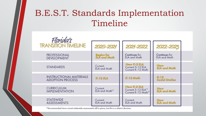### B.E.S.T. Standards Implementation Timeline

| Florida's                                                 |                                          |                                                        |                                      |  |
|-----------------------------------------------------------|------------------------------------------|--------------------------------------------------------|--------------------------------------|--|
| <b>TRANSITION TIMELINE</b>                                | 2020-2021                                | 2021-2022                                              | 2022-2023                            |  |
| <b>PROFESSIONAL</b><br><b>DEVELOPMENT</b>                 | <b>Begins for</b><br><b>ELA</b> and Math | Continues for<br><b>ELA and Math</b>                   | Continues for<br><b>ELA and Math</b> |  |
| <b>STANDARDS</b>                                          | Current<br><b>ELA and Math</b>           | New K-2 ELA<br>Current 3-12 ELA<br>Current K-12 Math   | New<br><b>ELA</b> and Math           |  |
| <b>INSTRUCTIONAL MATERIALS</b><br><b>ADOPTION PROCESS</b> | K-12 ELA                                 | K-12 Math                                              | $K-12$<br><b>Social Studies</b>      |  |
| <b>CURRICULUM</b><br><b>IMPLEMENTATION</b>                | Current<br>ELA and Math*                 | New K-2 ELA<br>Current 3-12 ELA*<br>Current K-12 Math* | New<br><b>ELA</b> and Math           |  |
| <b>STATEWIDE</b><br><b>ASSESSMENTS</b>                    | Current<br><b>ELA and Math</b>           | Current<br><b>ELA and Math</b>                         | New<br><b>ELA and Math</b>           |  |
|                                                           |                                          |                                                        |                                      |  |

\*Recommended since current statewide assessments still in place, but this is a district decision.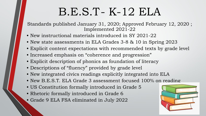# B.E.S.T- K-12 ELA

Standards published January 31, 2020; Approved February 12, 2020 ; Implemented 2021-22

- New instructional materials introduced in SY 2021-22
- New state assessments in ELA Grades 3-8 & 10 in Spring 2023
- Explicit content expectations with recommended texts by grade level
- Increased emphasis on "coherence and progression"
- Explicit description of phonics as foundation of literacy
- Descriptions of "fluency" provided by grade level
- New integrated civics readings explicitly integrated into ELA
- New B.E.S.T. ELA Grade 3 assessment focused 100% on reading
- US Constitution formally introduced in Grade 5
- Rhetoric formally introduced in Grade 6
- Grade 9 ELA FSA eliminated in July 2022

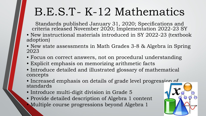# B.E.S.T- K-12 Mathematics

Standards published January 31, 2020; Specifications and criteria released November 2020; Implementation 2022-23 SY

- New instructional materials introduced in SY 2022-23 (textbook adoption)
- New state assessments in Math Grades 3-8 & Algebra in Spring 2023
- Focus on correct answers, not on procedural understanding
- Explicit emphasis on memorizing arithmetic facts
- Introduce detailed and illustrated glossary of mathematical concepts
- Increased emphasis on details of grade level progression of standards
- Introduce multi-digit division in Grade 5
- Provide detailed description of Algebra 1 content • Multiple course progressions beyond Algebra 1

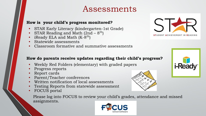#### Assessments

#### **How is your child's progress monitored?**

- STAR Early Literacy (kindergarten-1st Grade)
- STAR Reading and Math  $(2nd 8<sup>th</sup>)$
- iReady ELA and Math  $(K-8<sup>th</sup>)$
- Statewide assessments
- Classroom formative and summative assessments



#### **How do parents receive updates regarding their child's progress?**

- Weekly Red Folders (elementary) with graded papers
- Progress reports
- Report cards
- Parent/Teacher conferences
- Written notification of local assessments
- Testing Reports from statewide assessment
- FOCUS portal